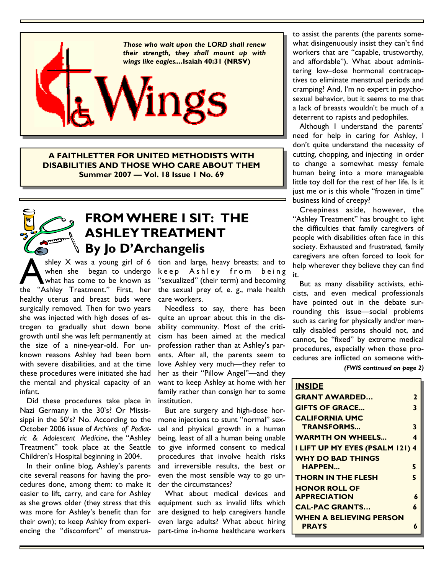

**A FAITHLETTER FOR UNITED METHODISTS WITH DISABILITIES AND THOSE WHO CARE ABOUT THEM Summer 2007 — Vol. 18 Issue 1 No. 69**

## **FROM WHERE I SIT: THE ASHLEY TREATMENT By Jo D'Archangelis**

shley  $X$  was a young girl of 6 tion and large, heavy breasts; and to shley  $\times$  was a young girl of 6<br>when she began to undergo<br>the "Ashley Treatment" First her when she began to undergo what has come to be known as the "Ashley Treatment." First, her healthy uterus and breast buds were surgically removed. Then for two years she was injected with high doses of estrogen to gradually shut down bone growth until she was left permanently at the size of a nine-year-old. For unknown reasons Ashley had been born with severe disabilities, and at the time these procedures were initiated she had the mental and physical capacity of an infant.

 Did these procedures take place in Nazi Germany in the 30's? Or Mississippi in the 50's? No. According to the October 2006 issue of *Archives of Pediatric & Adolescent Medicine*, the "Ashley Treatment" took place at the Seattle Children's Hospital beginning in 2004.

 In their online blog, Ashley's parents cite several reasons for having the procedures done, among them: to make it easier to lift, carry, and care for Ashley as she grows older (they stress that this was more for Ashley's benefit than for their own); to keep Ashley from experiencing the "discomfort" of menstruakeep Ashley from being "sexualized" (their term) and becoming the sexual prey of, e. g., male health care workers.

 Needless to say, there has been quite an uproar about this in the disability community. Most of the criticism has been aimed at the medical profession rather than at Ashley's parents. After all, the parents seem to love Ashley very much—they refer to her as their "Pillow Angel"—and they want to keep Ashley at home with her family rather than consign her to some institution.

 But are surgery and high-dose hormone injections to stunt "normal" sexual and physical growth in a human being, least of all a human being unable to give informed consent to medical procedures that involve health risks and irreversible results, the best or even the most sensible way to go under the circumstances?

 What about medical devices and equipment such as invalid lifts which are designed to help caregivers handle even large adults? What about hiring part-time in-home healthcare workers to assist the parents (the parents somewhat disingenuously insist they can't find workers that are "capable, trustworthy, and affordable"). What about administering low–dose hormonal contraceptives to eliminate menstrual periods and cramping? And, I'm no expert in psychosexual behavior, but it seems to me that a lack of breasts wouldn't be much of a deterrent to rapists and pedophiles.

 Although I understand the parents' need for help in caring for Ashley, I don't quite understand the necessity of cutting, chopping, and injecting in order to change a somewhat messy female human being into a more manageable little toy doll for the rest of her life. Is it just me or is this whole "frozen in time" business kind of creepy?

 Creepiness aside, however, the "Ashley Treatment" has brought to light the difficulties that family caregivers of people with disabilities often face in this society. Exhausted and frustrated, family caregivers are often forced to look for help wherever they believe they can find it.

 But as many disability activists, ethicists, and even medical professionals have pointed out in the debate surrounding this issue—social problems such as caring for physically and/or mentally disabled persons should not, and cannot, be "fixed" by extreme medical procedures, especially when those procedures are inflicted on someone with-

#### *(FWIS continued on page 2)*

| <b>INSIDE</b>                   |              |
|---------------------------------|--------------|
| <b>GRANT AWARDED</b>            | $\mathbf{z}$ |
| <b>GIFTS OF GRACE</b>           | 3            |
| <b>CALIFORNIA UMC</b>           |              |
| <b>TRANSFORMS</b>               | 3            |
| <b>WARMTH ON WHEELS</b>         | 4            |
| I LIFT UP MY EYES (PSALM 121) 4 |              |
| WHY DO BAD THINGS               |              |
| <b>HAPPEN</b>                   | 5            |
| <b>THORN IN THE FLESH</b>       | 5            |
| <b>HONOR ROLL OF</b>            |              |
| <b>APPRECIATION</b>             | 6            |
| <b>CAL-PAC GRANTS</b>           | 6            |
| WHEN A BELIEVING PERSON         |              |
| <b>PRAYS</b>                    | Á            |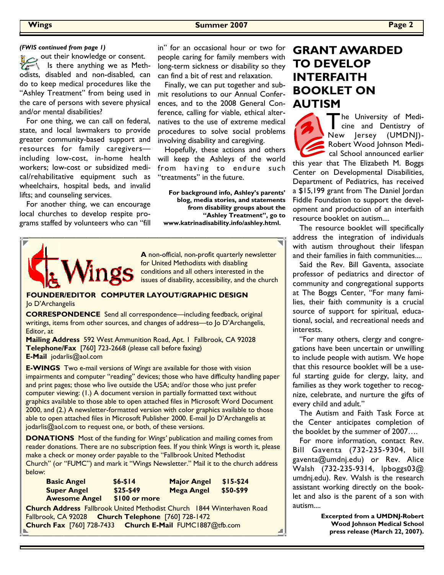out their knowledge or consent. Is there anything we as Methodists, disabled and non-disabled, can do to keep medical procedures like the "Ashley Treatment" from being used in the care of persons with severe physical and/or mental disabilities?

 For one thing, we can call on federal, state, and local lawmakers to provide greater community-based support and resources for family caregivers including low-cost, in-home health workers; low-cost or subsidized medical/rehabilitative equipment such as wheelchairs, hospital beds, and invalid lifts; and counseling services.

 For another thing, we can encourage local churches to develop respite programs staffed by volunteers who can "fill

in" for an occasional hour or two for people caring for family members with long-term sickness or disability so they can find a bit of rest and relaxation. *(FWIS continued from page 1)* **Example 2** in" for an occasional hour or two for **GRANT AWARDED** 

> Finally, we can put together and submit resolutions to our Annual Conferences, and to the 2008 General Conference, calling for viable, ethical alternatives to the use of extreme medical procedures to solve social problems involving disability and caregiving.

> Hopefully, these actions and others will keep the Ashleys of the world from having to endure such "treatments" in the future.

**For background info, Ashley's parents' blog, media stories, and statements from disability groups about the "Ashley Treatment", go to www.katrinadisability.info/ashley.html.**



**A** non-official, non-profit quarterly newsletter for United Methodists with disabling conditions and all others interested in the issues of disability, accessibility, and the church

**FOUNDER/EDITOR COMPUTER LAYOUT/GRAPHIC DESIGN**  Jo D'Archangelis

**CORRESPONDENCE** Send all correspondence—including feedback, original writings, items from other sources, and changes of address—to Jo D'Archangelis, Editor, at

**Mailing Address** 592 West Ammunition Road, Apt. 1 Fallbrook, CA 92028 **Telephone/Fax** [760] 723-2668 (please call before faxing) **E-Mail** jodarlis@aol.com

**E-WINGS** Two e-mail versions of *Wings* are available for those with vision impairments and computer "reading" devices; those who have difficulty handling paper and print pages; those who live outside the USA; and/or those who just prefer computer viewing: (1.) A document version in partially formatted text without graphics available to those able to open attached files in Microsoft Word Document 2000, and (2.) A newsletter-formatted version with color graphics available to those able to open attached files in Microsoft Publisher 2000. E-mail Jo D'Archangelis at jodarlis@aol.com to request one, or both, of these versions.

**DONATIONS** Most of the funding for *Wings'* publication and mailing comes from reader donations. There are no subscription fees. If you think *Wings* is worth it, please make a check or money order payable to the "Fallbrook United Methodist Church" (or "FUMC") and mark it "Wings Newsletter." Mail it to the church address below:

| <b>Basic Angel</b>   | $$6 - $14$    | <b>Major Angel</b> | \$15-\$24 |
|----------------------|---------------|--------------------|-----------|
| <b>Super Angel</b>   | $$25-$49$     | <b>Mega Angel</b>  | \$50-\$99 |
| <b>Awesome Angel</b> | \$100 or more |                    |           |

**Church Address** Fallbrook United Methodist Church 1844 Winterhaven Road Fallbrook, CA 92028 **Church Telephone** [760] 728-1472 **Church Fax** [760] 728-7433 **Church E-Mail** FUMC1887@tfb.com

# **TO DEVELOP INTERFAITH BOOKLET ON AUTISM**

The University of Medicine and Dentistry of New Jersey (UMDNJ)- Robert Wood Johnson Medical School announced earlier this year that The Elizabeth M. Boggs Center on Developmental Disabilities, Department of Pediatrics, has received a \$15,199 grant from The Daniel Jordan Fiddle Foundation to support the development and production of an interfaith

resource booklet on autism.... The resource booklet will specifically address the integration of individuals with autism throughout their lifespan and their families in faith communities....

 Said the Rev. Bill Gaventa, associate professor of pediatrics and director of community and congregational supports at The Boggs Center, "For many families, their faith community is a crucial source of support for spiritual, educational, social, and recreational needs and interests.

 "For many others, clergy and congregations have been uncertain or unwilling to include people with autism. We hope that this resource booklet will be a useful starting guide for clergy, laity, and families as they work together to recognize, celebrate, and nurture the gifts of every child and adult."

 The Autism and Faith Task Force at the Center anticipates completion of the booklet by the summer of 2007….

 For more information, contact Rev. Bill Gaventa (732-235-9304, bill gaventa@umdnj.edu) or Rev. Alice Walsh (732-235-9314, lpboggs03@ umdnj.edu). Rev. Walsh is the research assistant working directly on the booklet and also is the parent of a son with autism....

> **Excerpted from a UMDNJ-Robert Wood Johnson Medical School press release (March 22, 2007).**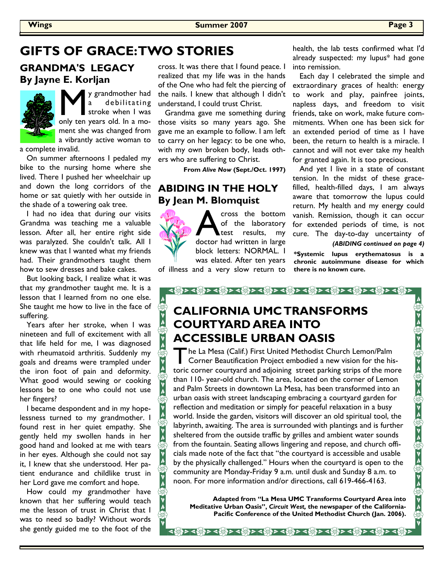## GIFTS OF GRACE: TWO STORIES health, the lab tests confirmed what I'd

**GRANDMA'S LEGACY By Jayne E. Korljan**



**M** y grandmother had a debilitating<br>stroke when I was<br>only ten years old. In a modebilitating stroke when I was ment she was changed from a vibrantly active woman to

a complete invalid.

 On summer afternoons I pedaled my bike to the nursing home where she lived. There I pushed her wheelchair up and down the long corridors of the home or sat quietly with her outside in the shade of a towering oak tree.

 I had no idea that during our visits Grandma was teaching me a valuable lesson. After all, her entire right side was paralyzed. She couldn't talk. All I knew was that I wanted what my friends had. Their grandmothers taught them how to sew dresses and bake cakes.

 But looking back, I realize what it was that my grandmother taught me. It is a lesson that I learned from no one else. She taught me how to live in the face of suffering.

 Years after her stroke, when I was nineteen and full of excitement with all that life held for me, I was diagnosed with rheumatoid arthritis. Suddenly my goals and dreams were trampled under the iron foot of pain and deformity. What good would sewing or cooking lessons be to one who could not use her fingers?

 I became despondent and in my hopelessness turned to my grandmother. I found rest in her quiet empathy. She gently held my swollen hands in her good hand and looked at me with tears in her eyes. Although she could not say it, I knew that she understood. Her patient endurance and childlike trust in her Lord gave me comfort and hope.

A<sub>S</sub>

 How could my grandmother have known that her suffering would teach me the lesson of trust in Christ that I was to need so badly? Without words she gently guided me to the foot of the

cross. It was there that I found peace. I realized that my life was in the hands of the One who had felt the piercing of the nails. I knew that although I didn't understand, I could trust Christ.

 Grandma gave me something during those visits so many years ago. She gave me an example to follow. I am left to carry on her legacy: to be one who, with my own broken body, leads others who are suffering to Christ.

 **From** *Alive Now* **(Sept./Oct. 1997)** 

### **ABIDING IN THE HOLY By Jean M. Blomquist**

**A** cross the bottom<br>of the laboratory<br>doctor had written in large of the laboratory test results, my doctor had written in large block letters: NORMAL. I was elated. After ten years

of illness and a very slow return to

already suspected: my lupus\* had gone into remission.

 Each day I celebrated the simple and extraordinary graces of health: energy to work and play, painfree joints, napless days, and freedom to visit friends, take on work, make future commitments. When one has been sick for an extended period of time as I have been, the return to health is a miracle. I cannot and will not ever take my health for granted again. It is too precious.

 And yet I live in a state of constant tension. In the midst of these gracefilled, health-filled days, I am always aware that tomorrow the lupus could return. My health and my energy could vanish. Remission, though it can occur for extended periods of time, is not cure. The day-to-day uncertainty of *(ABIDING continued on page 4)* 

**\*Systemic lupus erythematosus is a chronic autoimmune disease for which there is no known cure.** 

## **CALIFORNIA UMC TRANSFORMS COURTYARD AREA INTO ACCESSIBLE URBAN OASIS**

T he La Mesa (Calif.) First United Methodist Church Lemon/Palm Corner Beautification Project embodied a new vision for the historic corner courtyard and adjoining street parking strips of the more than 110- year-old church. The area, located on the corner of Lemon and Palm Streets in downtown La Mesa, has been transformed into an urban oasis with street landscaping embracing a courtyard garden for reflection and meditation or simply for peaceful relaxation in a busy world. Inside the garden, visitors will discover an old spiritual tool, the labyrinth, awaiting. The area is surrounded with plantings and is further sheltered from the outside traffic by grilles and ambient water sounds from the fountain. Seating allows lingering and repose, and church officials made note of the fact that "the courtyard is accessible and usable by the physically challenged." Hours when the courtyard is open to the community are Monday-Friday 9 a.m. until dusk and Sunday 8 a.m. to noon. For more information and/or directions, call 619-466-4163.

**Adapted from "La Mesa UMC Transforms Courtyard Area into Meditative Urban Oasis",** *Circuit West,* **the newspaper of the California-Pacific Conference of the United Methodist Church (Jan. 2006).**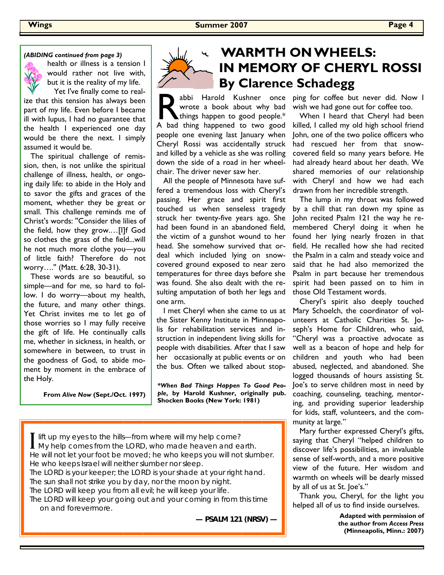#### *(ABIDING continued from page 3)*



health or illness is a tension I would rather not live with, but it is the reality of my life. Yet I've finally come to real-

ize that this tension has always been part of my life. Even before I became ill with lupus, I had no guarantee that the health I experienced one day would be there the next. I simply assumed it would be.

 The spiritual challenge of remission, then, is not unlike the spiritual challenge of illness, health, or ongoing daily life: to abide in the Holy and to savor the gifts and graces of the moment, whether they be great or small. This challenge reminds me of Christ's words: ''Consider the lilies of the field, how they grow.…[I]f God so clothes the grass of the field...will he not much more clothe you—you of little faith? Therefore do not worry….'' (Matt. 6:28, 30-31).

 These words are so beautiful, so simple—and for me, so hard to follow. I do worry—about my health, the future, and many other things. Yet Christ invites me to let go of those worries so I may fully receive the gift of life. He continually calls me, whether in sickness, in health, or somewhere in between, to trust in the goodness of God, to abide moment by moment in the embrace of the Holy.

**From** *Alive Now* **(Sept./Oct. 1997)**



## **WARMTH ON WHEELS: IN MEMORY OF CHERYL ROSSI By Clarence Schadegg**

abbi Harold Kushner once wrote a book about why bad things happen to good people.\* A bad thing happened to two good people one evening last January when Cheryl Rossi was accidentally struck and killed by a vehicle as she was rolling down the side of a road in her wheelchair. The driver never saw her.

 All the people of Minnesota have suffered a tremendous loss with Cheryl's passing. Her grace and spirit first touched us when senseless tragedy struck her twenty-five years ago. She had been found in an abandoned field, the victim of a gunshot wound to her head. She somehow survived that ordeal which included lying on snowcovered ground exposed to near zero temperatures for three days before she was found. She also dealt with the resulting amputation of both her legs and one arm.

the Sister Kenny Institute in Minneapolis for rehabilitation services and instruction in independent living skills for people with disabilities. After that I saw her occasionally at public events or on the bus. Often we talked about stop-

*\*When Bad Things Happen To Good People***, by Harold Kushner, originally pub. Shocken Books (New York: 1981)** 

I lift up my eyes to the hills—from where will my help come?<br>My help comes from the LORD, who made heaven and earth. He will not let your foot be moved; he who keeps you will not slumber. He who keeps Israel will neither slumber nor sleep. The LORD is your keeper; the LORD is your shade at your right hand. The sun shall not strike you by day, nor the moon by night. The LORD will keep you from all evil; he will keep your life. The LORD will keep your going out and your coming in from this time on and forevermore.

**— PSALM 121 (NRSV) —** 

ping for coffee but never did. Now I wish we had gone out for coffee too.

 When I heard that Cheryl had been killed, I called my old high school friend John, one of the two police officers who had rescued her from that snowcovered field so many years before. He had already heard about her death. We shared memories of our relationship with Cheryl and how we had each drawn from her incredible strength.

 The lump in my throat was followed by a chill that ran down my spine as John recited Psalm 121 the way he remembered Cheryl doing it when he found her lying nearly frozen in that field. He recalled how she had recited the Psalm in a calm and steady voice and said that he had also memorized the Psalm in part because her tremendous spirit had been passed on to him in those Old Testament words.

I met Cheryl when she came to us at Mary Schoelch, the coordinator of vol- Cheryl's spirit also deeply touched unteers at Catholic Charities St. Joseph's Home for Children, who said, "Cheryl was a proactive advocate as well as a beacon of hope and help for children and youth who had been abused, neglected, and abandoned. She logged thousands of hours assisting St. Joe's to serve children most in need by coaching, counseling, teaching, mentoring, and providing superior leadership for kids, staff, volunteers, and the community at large."

> Mary further expressed Cheryl's gifts, saying that Cheryl "helped children to discover life's possibilities, an invaluable sense of self-worth, and a more positive view of the future. Her wisdom and warmth on wheels will be dearly missed by all of us at St. Joe's."

> Thank you, Cheryl, for the light you helped all of us to find inside ourselves.

> > **Adapted with permission of the author from** *Access Press* **(Minneapolis, Minn.: 2007)**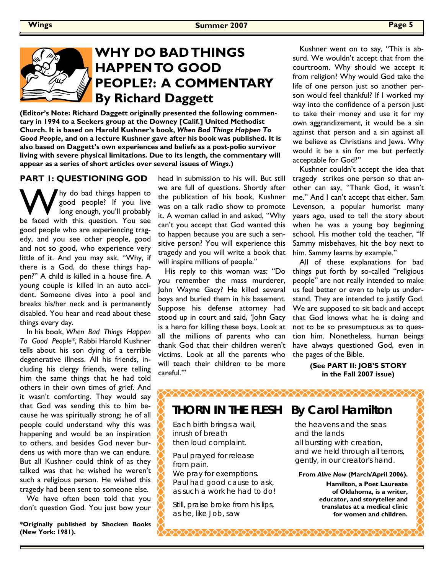## **WHY DO BAD THINGS HAPPEN TO GOOD PEOPLE?: A COMMENTARY By Richard Daggett**

**(Editor's Note: Richard Daggett originally presented the following commentary in 1994 to a Seekers group at the Downey [Calif.] United Methodist Church. It is based on Harold Kushner's book,** *When Bad Things Happen To Good People***, and on a lecture Kushner gave after his book was published. It is also based on Daggett's own experiences and beliefs as a post-polio survivor living with severe physical limitations. Due to its length, the commentary will appear as a series of short articles over several issues of** *Wings***.)** 

#### **PART 1: QUESTIONING GOD**

W hy do bad things happen to<br>good people? If you live<br>long enough, you'll probably<br>be faced with this question. You see good people? If you live long enough, you'll probably be faced with this question. You see good people who are experiencing tragedy, and you see other people, good and not so good, who experience very little of it. And you may ask, "Why, if there is a God, do these things happen?" A child is killed in a house fire. A young couple is killed in an auto accident. Someone dives into a pool and breaks his/her neck and is permanently disabled. You hear and read about these things every day.

 In his book, *When Bad Things Happen To Good People*\*, Rabbi Harold Kushner tells about his son dying of a terrible degenerative illness. All his friends, including his clergy friends, were telling him the same things that he had told others in their own times of grief. And it wasn't comforting. They would say that God was sending this to him because he was spiritually strong; he of all people could understand why this was happening and would be an inspiration to others, and besides God never burdens us with more than we can endure. But all Kushner could think of as they talked was that he wished he weren't such a religious person. He wished this tragedy had been sent to someone else.

 We have often been told that you don't question God. You just bow your

**\*Originally published by Shocken Books (New York: 1981).** 

head in submission to his will. But still we are full of questions. Shortly after the publication of his book, Kushner was on a talk radio show to promote it. A woman called in and asked, "Why can't you accept that God wanted this to happen because you are such a sensitive person? You will experience this tragedy and you will write a book that will inspire millions of people."

 His reply to this woman was: "Do you remember the mass murderer, John Wayne Gacy? He killed several boys and buried them in his basement. Suppose his defense attorney had stood up in court and said, 'John Gacy is a hero for killing these boys. Look at all the millions of parents who can thank God that their children weren't victims. Look at all the parents who will teach their children to be more careful.'"

 Kushner went on to say, "This is absurd. We wouldn't accept that from the courtroom. Why should we accept it from religion? Why would God take the life of one person just so another person would feel thankful? If I worked my way into the confidence of a person just to take their money and use it for my own aggrandizement, it would be a sin against that person and a sin against all we believe as Christians and Jews. Why would it be a sin for me but perfectly acceptable for God?"

 Kushner couldn't accept the idea that tragedy strikes one person so that another can say, "Thank God, it wasn't me." And I can't accept that either. Sam Levenson, a popular humorist many years ago, used to tell the story about when he was a young boy beginning school. His mother told the teacher, "If Sammy misbehaves, hit the boy next to him. Sammy learns by example."

 All of these explanations for bad things put forth by so-called "religious people" are not really intended to make us feel better or even to help us understand. They are intended to justify God. We are supposed to sit back and accept that God knows what he is doing and not to be so presumptuous as to question him. Nonetheless, human beings have always questioned God, even in the pages of the Bible.

> **(See PART II: JOB'S STORY in the Fall 2007 issue)**

## **THORN IN THE FLESH By Carol Hamilton**

◇◇◇◇◇◇◇◇◇◇◇◇◇◇◇◇◇◇◇◇◇◇◇◇◇◇◇◇◇◇◇◇

Each birth brings a wail, inrush of breath then loud complaint.

Paul prayed for release from pain. We pray for exemptions. Paul had good cause to ask, as such a work he had to do!

Still, praise broke from his lips, as he, like Job, saw

the heavens and the seas and the lands all bursting with creation, and we held through all terrors, gently, in our creator's hand.

**From** *Alive Now* **(March/April 2006).** 

**Hamilton, a Poet Laureate of Oklahoma, is a writer, educator, and storyteller and translates at a medical clinic for women and children.**